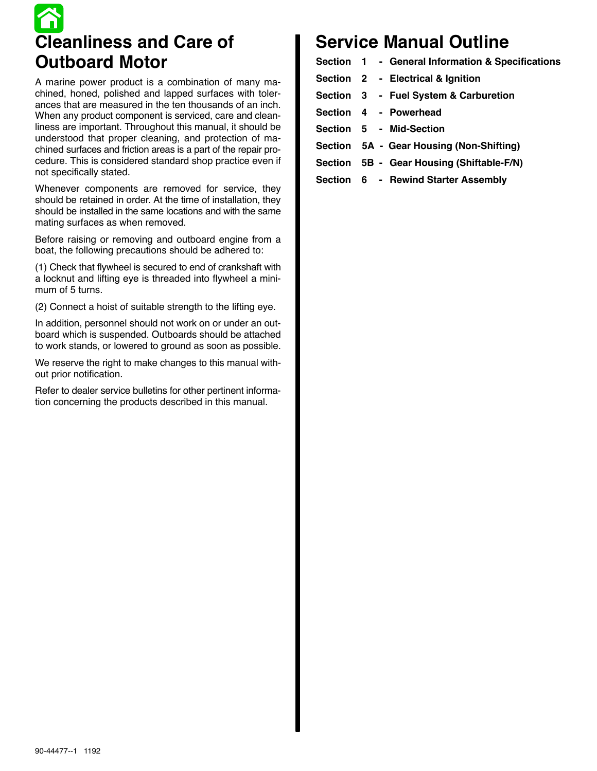# **Cleanliness and Care of Outboard Motor**

A marine power product is a combination of many machined, honed, polished and lapped surfaces with tolerances that are measured in the ten thousands of an inch. When any product component is serviced, care and cleanliness are important. Throughout this manual, it should be understood that proper cleaning, and protection of machined surfaces and friction areas is a part of the repair procedure. This is considered standard shop practice even if not specifically stated.

Whenever components are removed for service, they should be retained in order. At the time of installation, they should be installed in the same locations and with the same mating surfaces as when removed.

Before raising or removing and outboard engine from a boat, the following precautions should be adhered to:

(1) Check that flywheel is secured to end of crankshaft with a locknut and lifting eye is threaded into flywheel a minimum of 5 turns.

(2) Connect a hoist of suitable strength to the lifting eye.

In addition, personnel should not work on or under an outboard which is suspended. Outboards should be attached to work stands, or lowered to ground as soon as possible.

We reserve the right to make changes to this manual without prior notification.

Refer to dealer service bulletins for other pertinent information concerning the products described in this manual.

### **Service Manual Outline**

- **Section 1 General Information & Specifications**
- **Section 2 Electrical & Ignition**
- **Section 3 Fuel System & Carburetion**
- **Section 4 Powerhead**
- **Section 5 Mid-Section**
- **Section 5A Gear Housing (Non-Shifting)**
- **Section 5B Gear Housing (Shiftable-F/N)**
- **Section 6 Rewind Starter Assembly**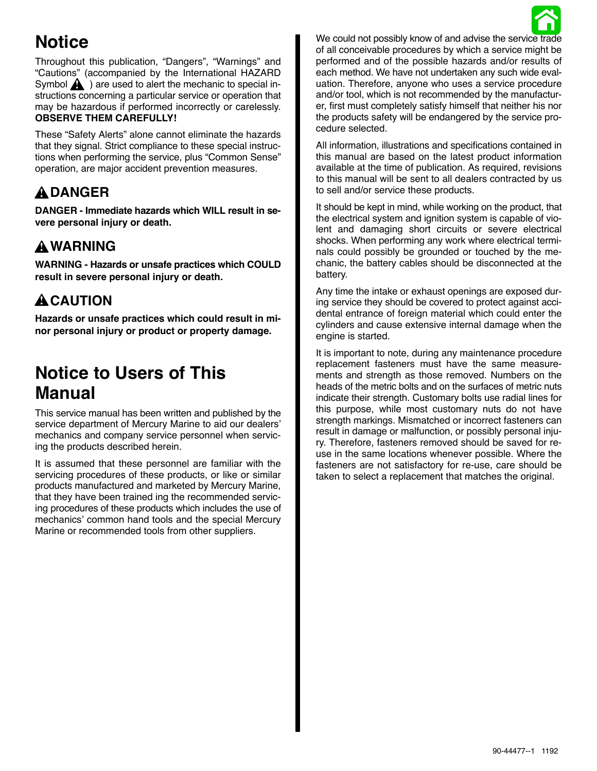# **Notice**

Symbol **A** ) are used to alert the mechanic to special in-Throughout this publication, "Dangers", "Warnings" and "Cautions" (accompanied by the International HAZARD structions concerning a particular service or operation that may be hazardous if performed incorrectly or carelessly. **OBSERVE THEM CAREFULLY!**

These "Safety Alerts" alone cannot eliminate the hazards that they signal. Strict compliance to these special instructions when performing the service, plus "Common Sense" operation, are major accident prevention measures.

### **! DANGER**

**DANGER - Immediate hazards which WILL result in severe personal injury or death.**

### **! WARNING**

**WARNING - Hazards or unsafe practices which COULD result in severe personal injury or death.**

### **! CAUTION**

**Hazards or unsafe practices which could result in minor personal injury or product or property damage.**

# **Notice to Users of This Manual**

This service manual has been written and published by the service department of Mercury Marine to aid our dealers' mechanics and company service personnel when servicing the products described herein.

It is assumed that these personnel are familiar with the servicing procedures of these products, or like or similar products manufactured and marketed by Mercury Marine, that they have been trained ing the recommended servicing procedures of these products which includes the use of mechanics' common hand tools and the special Mercury Marine or recommended tools from other suppliers.

We could not possibly know of and advise the service trade of all conceivable procedures by which a service might be performed and of the possible hazards and/or results of each method. We have not undertaken any such wide evaluation. Therefore, anyone who uses a service procedure and/or tool, which is not recommended by the manufacturer, first must completely satisfy himself that neither his nor the products safety will be endangered by the service procedure selected.

All information, illustrations and specifications contained in this manual are based on the latest product information available at the time of publication. As required, revisions to this manual will be sent to all dealers contracted by us to sell and/or service these products.

It should be kept in mind, while working on the product, that the electrical system and ignition system is capable of violent and damaging short circuits or severe electrical shocks. When performing any work where electrical terminals could possibly be grounded or touched by the mechanic, the battery cables should be disconnected at the battery.

Any time the intake or exhaust openings are exposed during service they should be covered to protect against accidental entrance of foreign material which could enter the cylinders and cause extensive internal damage when the engine is started.

It is important to note, during any maintenance procedure replacement fasteners must have the same measurements and strength as those removed. Numbers on the heads of the metric bolts and on the surfaces of metric nuts indicate their strength. Customary bolts use radial lines for this purpose, while most customary nuts do not have strength markings. Mismatched or incorrect fasteners can result in damage or malfunction, or possibly personal injury. Therefore, fasteners removed should be saved for reuse in the same locations whenever possible. Where the fasteners are not satisfactory for re-use, care should be taken to select a replacement that matches the original.

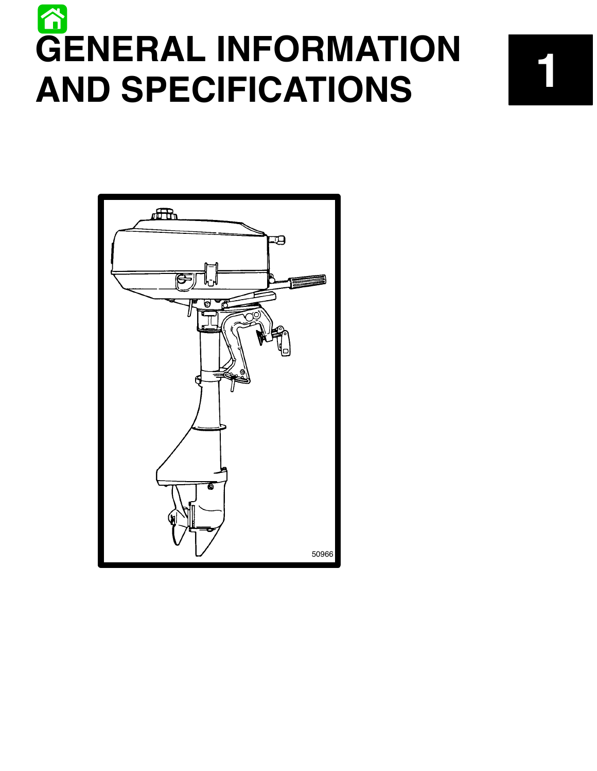# **GENERAL INFORMATION AND SPECIFICATIONS**



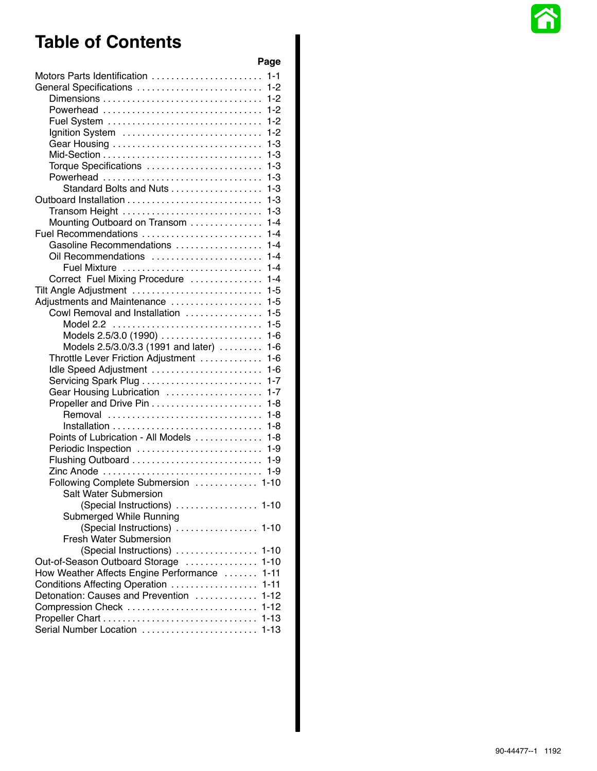

# **Table of Contents**

| Page                                           |
|------------------------------------------------|
| Motors Parts Identification<br>$1 - 1$         |
| $1 - 2$<br>General Specifications              |
| $1 - 2$                                        |
| Powerhead<br>$1 - 2$                           |
| $1-2$                                          |
| $1 - 2$<br>Ignition System                     |
| 1-3                                            |
| $1 - 3$                                        |
| Torque Specifications<br>$1 - 3$               |
| Powerhead<br>$1 - 3$                           |
| Standard Bolts and Nuts<br>$1 - 3$             |
| $1 - 3$                                        |
| $1 - 3$                                        |
| $1 - 4$<br>Mounting Outboard on Transom        |
| Fuel Recommendations<br>$1 - 4$                |
| Gasoline Recommendations<br>$1 - 4$            |
| $1 - 4$<br>Oil Recommendations                 |
| $1 - 4$<br>Fuel Mixture                        |
| Correct Fuel Mixing Procedure<br>$1 - 4$       |
| $1 - 5$<br>Tilt Angle Adjustment               |
| Adjustments and Maintenance<br>$1 - 5$         |
| Cowl Removal and Installation<br>$1 - 5$       |
| $1 - 5$                                        |
| $1 - 6$                                        |
| Models 2.5/3.0/3.3 (1991 and later)<br>$1 - 6$ |
| Throttle Lever Friction Adjustment<br>$1 - 6$  |
| Idle Speed Adjustment<br>$1 - 6$<br>$1 - 7$    |
| Servicing Spark Plug<br>$1 - 7$                |
| Gear Housing Lubrication<br>$1 - 8$            |
| Removal<br>$1 - 8$                             |
| $1 - 8$                                        |
| Points of Lubrication - All Models<br>$1 - 8$  |
| $1 - 9$<br>Periodic Inspection                 |
| $1 - 9$                                        |
| Zinc Anode<br>$1 - 9$                          |
| Following Complete Submersion<br>$1 - 10$      |
| <b>Salt Water Submersion</b>                   |
| (Special Instructions)  1-10                   |
| Submerged While Running                        |
| (Special Instructions)  1-10                   |
| <b>Fresh Water Submersion</b>                  |
| (Special Instructions)  1-10                   |
| Out-of-Season Outboard Storage  1-10           |
| How Weather Affects Engine Performance  1-11   |
| Conditions Affecting Operation  1-11           |
| Detonation: Causes and Prevention  1-12        |
| Compression Check  1-12                        |
|                                                |
| Serial Number Location  1-13                   |
|                                                |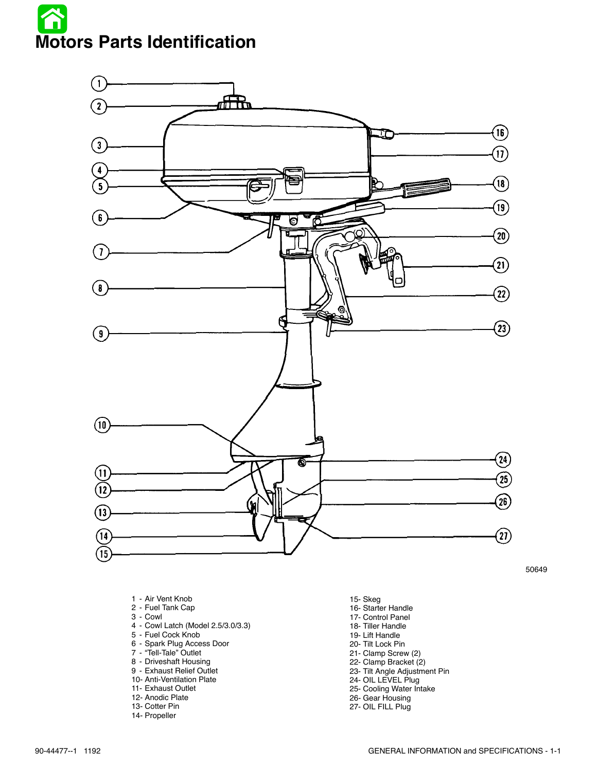



50649

- 1 Air Vent Knob
- 2 Fuel Tank Cap
- 3 Cowl
- 4 Cowl Latch (Model 2.5/3.0/3.3)
- 5 Fuel Cock Knob
- 6 Spark Plug Access Door
- 7 "Tell-Tale" Outlet
- 8 Driveshaft Housing
- 9 Exhaust Relief Outlet
- 10- Anti-Ventilation Plate
- 11- Exhaust Outlet
- 12- Anodic Plate
- 13- Cotter Pin
- 14- Propeller
- 15- Skeg
- 16- Starter Handle
- 17- Control Panel
- 18- Tiller Handle
- 19- Lift Handle
- 20- Tilt Lock Pin
- 21- Clamp Screw (2)
- 22- Clamp Bracket (2)
- 23- Tilt Angle Adjustment Pin
- 24- OIL LEVEL Plug
- 25- Cooling Water Intake
- 26- Gear Housing
- 27- OIL FILL Plug